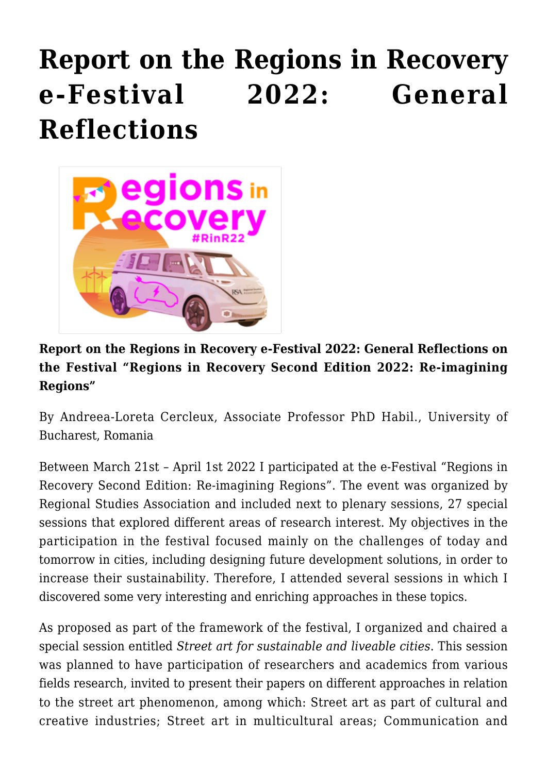## **[Report on the Regions in Recovery](https://regions.regionalstudies.org/ezine/article/issue-12-andreea-loreta/) [e-Festival 2022: General](https://regions.regionalstudies.org/ezine/article/issue-12-andreea-loreta/) [Reflections](https://regions.regionalstudies.org/ezine/article/issue-12-andreea-loreta/)**



## **Report on the Regions in Recovery e-Festival 2022: General Reflections on the Festival "Regions in Recovery Second Edition 2022: Re-imagining Regions"**

By [Andreea-Loreta Cercleux](https://scoaladoctorala.geo.unibuc.ro/associate-professor-phd-habil-andreea-loreta-cercleux/), Associate Professor PhD Habil., University of Bucharest, Romania

Between March 21st – April 1st 2022 I participated at the e-Festival ["Regions in](https://www.regionalstudies.org/events/rinr2022/) [Recovery Second Edition: Re-imagining Regions".](https://www.regionalstudies.org/events/rinr2022/) The event was organized by [Regional Studies Association](https://www.regionalstudies.org/) and included next to plenary sessions, 27 special sessions that explored different areas of research interest. My objectives in the participation in the festival focused mainly on the challenges of today and tomorrow in cities, including designing future development solutions, in order to increase their sustainability. Therefore, I attended several sessions in which I discovered some very interesting and enriching approaches in these topics.

As proposed as part of the framework of the festival, I organized and chaired a special session entitled *Street art for sustainable and liveable cities*. This session was planned to have participation of researchers and academics from various fields research, invited to present their papers on different approaches in relation to the street art phenomenon, among which: Street art as part of cultural and creative industries; Street art in multicultural areas; Communication and